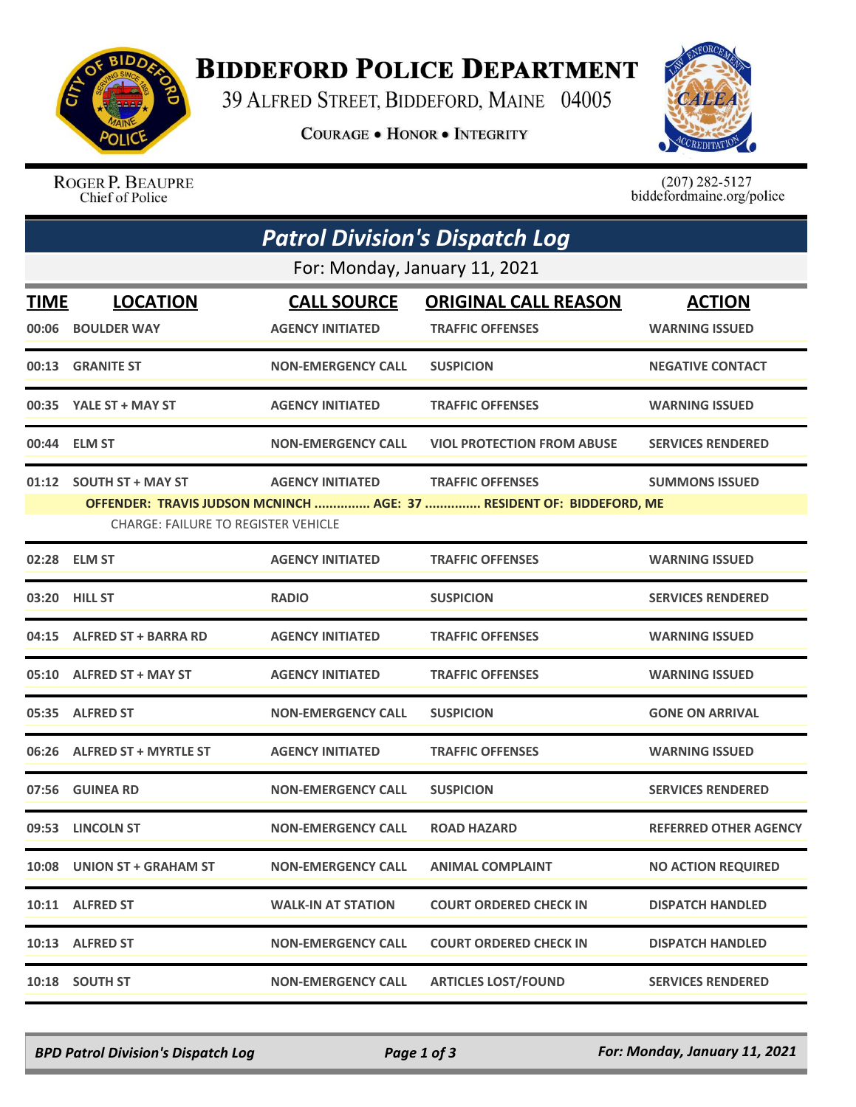

## **BIDDEFORD POLICE DEPARTMENT**

39 ALFRED STREET, BIDDEFORD, MAINE 04005

**COURAGE . HONOR . INTEGRITY** 



ROGER P. BEAUPRE Chief of Police

 $(207)$  282-5127<br>biddefordmaine.org/police

| <b>Patrol Division's Dispatch Log</b>                                                                              |                             |                           |                                   |                              |  |  |  |
|--------------------------------------------------------------------------------------------------------------------|-----------------------------|---------------------------|-----------------------------------|------------------------------|--|--|--|
| For: Monday, January 11, 2021                                                                                      |                             |                           |                                   |                              |  |  |  |
| TIME                                                                                                               | <b>LOCATION</b>             | <b>CALL SOURCE</b>        | <b>ORIGINAL CALL REASON</b>       | <b>ACTION</b>                |  |  |  |
|                                                                                                                    | 00:06 BOULDER WAY           | <b>AGENCY INITIATED</b>   | <b>TRAFFIC OFFENSES</b>           | <b>WARNING ISSUED</b>        |  |  |  |
|                                                                                                                    | 00:13 GRANITE ST            | <b>NON-EMERGENCY CALL</b> | <b>SUSPICION</b>                  | <b>NEGATIVE CONTACT</b>      |  |  |  |
|                                                                                                                    | 00:35 YALE ST + MAY ST      | <b>AGENCY INITIATED</b>   | <b>TRAFFIC OFFENSES</b>           | <b>WARNING ISSUED</b>        |  |  |  |
|                                                                                                                    | 00:44 ELM ST                | <b>NON-EMERGENCY CALL</b> | <b>VIOL PROTECTION FROM ABUSE</b> | <b>SERVICES RENDERED</b>     |  |  |  |
|                                                                                                                    | 01:12 SOUTH ST + MAY ST     | <b>AGENCY INITIATED</b>   | <b>TRAFFIC OFFENSES</b>           | <b>SUMMONS ISSUED</b>        |  |  |  |
| OFFENDER: TRAVIS JUDSON MCNINCH  AGE: 37  RESIDENT OF: BIDDEFORD, ME<br><b>CHARGE: FAILURE TO REGISTER VEHICLE</b> |                             |                           |                                   |                              |  |  |  |
|                                                                                                                    | 02:28 ELM ST                | <b>AGENCY INITIATED</b>   | <b>TRAFFIC OFFENSES</b>           | <b>WARNING ISSUED</b>        |  |  |  |
|                                                                                                                    | 03:20 HILL ST               | <b>RADIO</b>              | <b>SUSPICION</b>                  | <b>SERVICES RENDERED</b>     |  |  |  |
|                                                                                                                    | 04:15 ALFRED ST + BARRA RD  | <b>AGENCY INITIATED</b>   | <b>TRAFFIC OFFENSES</b>           | <b>WARNING ISSUED</b>        |  |  |  |
|                                                                                                                    | 05:10 ALFRED ST + MAY ST    | <b>AGENCY INITIATED</b>   | <b>TRAFFIC OFFENSES</b>           | <b>WARNING ISSUED</b>        |  |  |  |
|                                                                                                                    | 05:35 ALFRED ST             | <b>NON-EMERGENCY CALL</b> | <b>SUSPICION</b>                  | <b>GONE ON ARRIVAL</b>       |  |  |  |
|                                                                                                                    | 06:26 ALFRED ST + MYRTLE ST | <b>AGENCY INITIATED</b>   | <b>TRAFFIC OFFENSES</b>           | <b>WARNING ISSUED</b>        |  |  |  |
|                                                                                                                    | 07:56 GUINEA RD             | <b>NON-EMERGENCY CALL</b> | <b>SUSPICION</b>                  | <b>SERVICES RENDERED</b>     |  |  |  |
|                                                                                                                    | 09:53 LINCOLN ST            | <b>NON-EMERGENCY CALL</b> | <b>ROAD HAZARD</b>                | <b>REFERRED OTHER AGENCY</b> |  |  |  |
|                                                                                                                    | 10:08 UNION ST + GRAHAM ST  | <b>NON-EMERGENCY CALL</b> | <b>ANIMAL COMPLAINT</b>           | <b>NO ACTION REQUIRED</b>    |  |  |  |
|                                                                                                                    | 10:11 ALFRED ST             | <b>WALK-IN AT STATION</b> | <b>COURT ORDERED CHECK IN</b>     | <b>DISPATCH HANDLED</b>      |  |  |  |
|                                                                                                                    | 10:13 ALFRED ST             | <b>NON-EMERGENCY CALL</b> | <b>COURT ORDERED CHECK IN</b>     | <b>DISPATCH HANDLED</b>      |  |  |  |
|                                                                                                                    | 10:18 SOUTH ST              | <b>NON-EMERGENCY CALL</b> | <b>ARTICLES LOST/FOUND</b>        | <b>SERVICES RENDERED</b>     |  |  |  |

*BPD Patrol Division's Dispatch Log Page 1 of 3 For: Monday, January 11, 2021*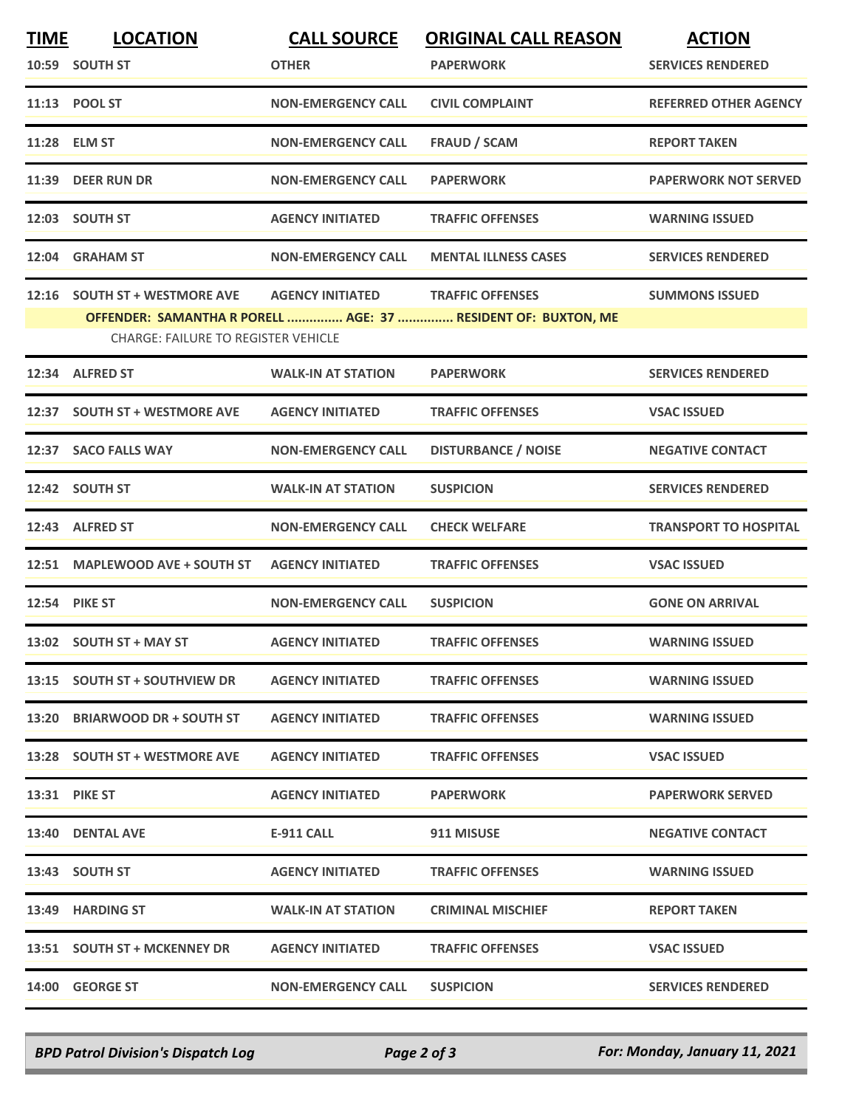| <b>TIME</b> | <b>LOCATION</b>                            | <b>CALL SOURCE</b>        | <b>ORIGINAL CALL REASON</b>                                   | <b>ACTION</b>                |
|-------------|--------------------------------------------|---------------------------|---------------------------------------------------------------|------------------------------|
|             | 10:59 SOUTH ST                             | <b>OTHER</b>              | <b>PAPERWORK</b>                                              | <b>SERVICES RENDERED</b>     |
|             | 11:13 POOL ST                              | <b>NON-EMERGENCY CALL</b> | <b>CIVIL COMPLAINT</b>                                        | <b>REFERRED OTHER AGENCY</b> |
|             | 11:28 ELM ST                               | <b>NON-EMERGENCY CALL</b> | <b>FRAUD / SCAM</b>                                           | <b>REPORT TAKEN</b>          |
|             | 11:39 DEER RUN DR                          | <b>NON-EMERGENCY CALL</b> | <b>PAPERWORK</b>                                              | <b>PAPERWORK NOT SERVED</b>  |
|             | 12:03 SOUTH ST                             | <b>AGENCY INITIATED</b>   | <b>TRAFFIC OFFENSES</b>                                       | <b>WARNING ISSUED</b>        |
|             | 12:04 GRAHAM ST                            | <b>NON-EMERGENCY CALL</b> | <b>MENTAL ILLNESS CASES</b>                                   | <b>SERVICES RENDERED</b>     |
|             | 12:16 SOUTH ST + WESTMORE AVE              | <b>AGENCY INITIATED</b>   | <b>TRAFFIC OFFENSES</b>                                       | <b>SUMMONS ISSUED</b>        |
|             | <b>CHARGE: FAILURE TO REGISTER VEHICLE</b> |                           | OFFENDER: SAMANTHA R PORELL  AGE: 37  RESIDENT OF: BUXTON, ME |                              |
|             |                                            |                           |                                                               |                              |
|             | 12:34 ALFRED ST                            | <b>WALK-IN AT STATION</b> | <b>PAPERWORK</b>                                              | <b>SERVICES RENDERED</b>     |
|             | 12:37 SOUTH ST + WESTMORE AVE              | <b>AGENCY INITIATED</b>   | <b>TRAFFIC OFFENSES</b>                                       | <b>VSAC ISSUED</b>           |
|             | 12:37 SACO FALLS WAY                       | <b>NON-EMERGENCY CALL</b> | <b>DISTURBANCE / NOISE</b>                                    | <b>NEGATIVE CONTACT</b>      |
|             | 12:42 SOUTH ST                             | <b>WALK-IN AT STATION</b> | <b>SUSPICION</b>                                              | <b>SERVICES RENDERED</b>     |
|             | 12:43 ALFRED ST                            | <b>NON-EMERGENCY CALL</b> | <b>CHECK WELFARE</b>                                          | <b>TRANSPORT TO HOSPITAL</b> |
|             | 12:51 MAPLEWOOD AVE + SOUTH ST             | <b>AGENCY INITIATED</b>   | <b>TRAFFIC OFFENSES</b>                                       | <b>VSAC ISSUED</b>           |
|             | <b>12:54 PIKE ST</b>                       | <b>NON-EMERGENCY CALL</b> | <b>SUSPICION</b>                                              | <b>GONE ON ARRIVAL</b>       |
|             | 13:02 SOUTH ST + MAY ST                    | <b>AGENCY INITIATED</b>   | <b>TRAFFIC OFFENSES</b>                                       | <b>WARNING ISSUED</b>        |
|             | 13:15 SOUTH ST + SOUTHVIEW DR              | <b>AGENCY INITIATED</b>   | <b>TRAFFIC OFFENSES</b>                                       | <b>WARNING ISSUED</b>        |
|             | 13:20 BRIARWOOD DR + SOUTH ST              | <b>AGENCY INITIATED</b>   | <b>TRAFFIC OFFENSES</b>                                       | <b>WARNING ISSUED</b>        |
|             | 13:28 SOUTH ST + WESTMORE AVE              | <b>AGENCY INITIATED</b>   | <b>TRAFFIC OFFENSES</b>                                       | <b>VSAC ISSUED</b>           |
|             | <b>13:31 PIKE ST</b>                       | <b>AGENCY INITIATED</b>   | <b>PAPERWORK</b>                                              | <b>PAPERWORK SERVED</b>      |
|             | 13:40 DENTAL AVE                           | E-911 CALL                | 911 MISUSE                                                    | <b>NEGATIVE CONTACT</b>      |
|             | 13:43 SOUTH ST                             | <b>AGENCY INITIATED</b>   | <b>TRAFFIC OFFENSES</b>                                       | <b>WARNING ISSUED</b>        |
|             | 13:49 HARDING ST                           | <b>WALK-IN AT STATION</b> | <b>CRIMINAL MISCHIEF</b>                                      | <b>REPORT TAKEN</b>          |
|             | 13:51 SOUTH ST + MCKENNEY DR               | <b>AGENCY INITIATED</b>   | <b>TRAFFIC OFFENSES</b>                                       | <b>VSAC ISSUED</b>           |
|             | 14:00 GEORGE ST                            | <b>NON-EMERGENCY CALL</b> | <b>SUSPICION</b>                                              | <b>SERVICES RENDERED</b>     |

*BPD Patrol Division's Dispatch Log Page 2 of 3 For: Monday, January 11, 2021*